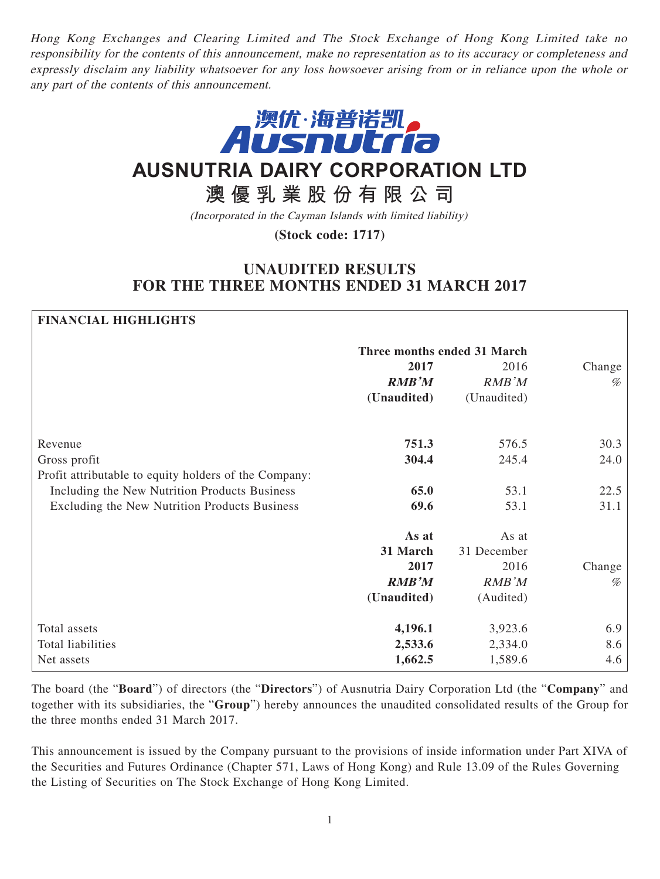Hong Kong Exchanges and Clearing Limited and The Stock Exchange of Hong Kong Limited take no responsibility for the contents of this announcement, make no representation as to its accuracy or completeness and expressly disclaim any liability whatsoever for any loss howsoever arising from or in reliance upon the whole or any part of the contents of this announcement.



# **AUSNUTRIA DAIRY CORPORATION LTD**

**澳優乳業股份有限公司**

(Incorporated in the Cayman Islands with limited liability)

**(Stock code: 1717)**

## **UNAUDITED RESULTS FOR THE THREE MONTHS ENDED 31 MARCH 2017**

## **FINANCIAL HIGHLIGHTS**

|                                                       | Three months ended 31 March |              |        |
|-------------------------------------------------------|-----------------------------|--------------|--------|
|                                                       | 2017                        | 2016         | Change |
|                                                       | <b>RMB'M</b>                | <b>RMB'M</b> | %      |
|                                                       | (Unaudited)                 | (Unaudited)  |        |
| Revenue                                               | 751.3                       | 576.5        | 30.3   |
| Gross profit                                          | 304.4                       | 245.4        | 24.0   |
| Profit attributable to equity holders of the Company: |                             |              |        |
| Including the New Nutrition Products Business         | 65.0                        | 53.1         | 22.5   |
| Excluding the New Nutrition Products Business         | 69.6                        | 53.1         | 31.1   |
|                                                       | As at                       | As at        |        |
|                                                       | 31 March                    | 31 December  |        |
|                                                       | 2017                        | 2016         | Change |
|                                                       | <b>RMB'M</b>                | RMB'M        | $\%$   |
|                                                       | (Unaudited)                 | (Audited)    |        |
| Total assets                                          | 4,196.1                     | 3,923.6      | 6.9    |
| Total liabilities                                     | 2,533.6                     | 2,334.0      | 8.6    |
| Net assets                                            | 1,662.5                     | 1,589.6      | 4.6    |

The board (the "**Board**") of directors (the "**Directors**") of Ausnutria Dairy Corporation Ltd (the "**Company**" and together with its subsidiaries, the "**Group**") hereby announces the unaudited consolidated results of the Group for the three months ended 31 March 2017.

This announcement is issued by the Company pursuant to the provisions of inside information under Part XIVA of the Securities and Futures Ordinance (Chapter 571, Laws of Hong Kong) and Rule 13.09 of the Rules Governing the Listing of Securities on The Stock Exchange of Hong Kong Limited.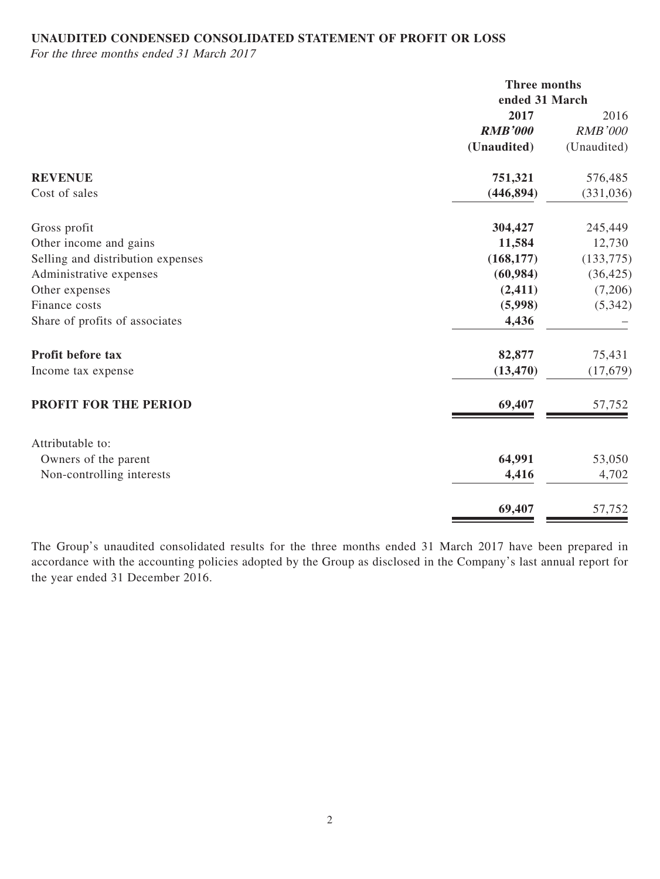## **UNAUDITED CONDENSED CONSOLIDATED STATEMENT OF PROFIT OR LOSS**

For the three months ended 31 March 2017

|                                   |                | Three months<br>ended 31 March |  |
|-----------------------------------|----------------|--------------------------------|--|
|                                   | 2017           | 2016                           |  |
|                                   | <b>RMB'000</b> | <b>RMB'000</b>                 |  |
|                                   | (Unaudited)    | (Unaudited)                    |  |
| <b>REVENUE</b>                    | 751,321        | 576,485                        |  |
| Cost of sales                     | (446, 894)     | (331, 036)                     |  |
| Gross profit                      | 304,427        | 245,449                        |  |
| Other income and gains            | 11,584         | 12,730                         |  |
| Selling and distribution expenses | (168, 177)     | (133, 775)                     |  |
| Administrative expenses           | (60, 984)      | (36, 425)                      |  |
| Other expenses                    | (2, 411)       | (7,206)                        |  |
| Finance costs                     | (5,998)        | (5,342)                        |  |
| Share of profits of associates    | 4,436          |                                |  |
| Profit before tax                 | 82,877         | 75,431                         |  |
| Income tax expense                | (13, 470)      | (17,679)                       |  |
| PROFIT FOR THE PERIOD             | 69,407         | 57,752                         |  |
| Attributable to:                  |                |                                |  |
| Owners of the parent              | 64,991         | 53,050                         |  |
| Non-controlling interests         | 4,416          | 4,702                          |  |
|                                   | 69,407         | 57,752                         |  |

The Group's unaudited consolidated results for the three months ended 31 March 2017 have been prepared in accordance with the accounting policies adopted by the Group as disclosed in the Company's last annual report for the year ended 31 December 2016.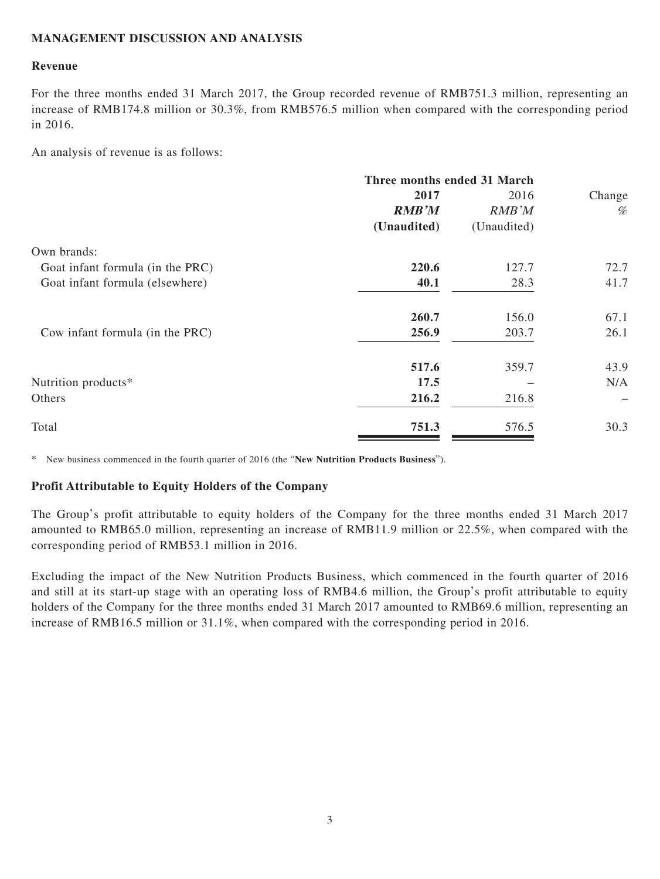## **MANAGEMENT DISCUSSION AND ANALYSIS**

### **Revenue**

For the three months ended 31 March 2017, the Group recorded revenue of RMB751.3 million, representing an increase of RMB174.8 million or 30.3%, from RMB576.5 million when compared with the corresponding period in 2016.

An analysis of revenue is as follows:

| Three months ended 31 March |             |                                  |
|-----------------------------|-------------|----------------------------------|
| 2017                        | 2016        | Change                           |
| <b>RMB'M</b>                | RMB'M       | $\%$                             |
| (Unaudited)                 | (Unaudited) |                                  |
|                             |             |                                  |
| 220.6                       | 127.7       | 72.7                             |
| 40.1                        | 28.3        | 41.7                             |
| 260.7                       | 156.0       | 67.1                             |
| 256.9                       | 203.7       | 26.1                             |
| 517.6                       | 359.7       | 43.9                             |
| 17.5                        |             | N/A                              |
| 216.2                       | 216.8       | $\overbrace{\phantom{12322111}}$ |
| 751.3                       | 576.5       | 30.3                             |
|                             |             |                                  |

\* New business commenced in the fourth quarter of 2016 (the "**New Nutrition Products Business**").

### **Profit Attributable to Equity Holders of the Company**

The Group's profit attributable to equity holders of the Company for the three months ended 31 March 2017 amounted to RMB65.0 million, representing an increase of RMB11.9 million or 22.5%, when compared with the corresponding period of RMB53.1 million in 2016.

Excluding the impact of the New Nutrition Products Business, which commenced in the fourth quarter of 2016 and still at its start-up stage with an operating loss of RMB4.6 million, the Group's profit attributable to equity holders of the Company for the three months ended 31 March 2017 amounted to RMB69.6 million, representing an increase of RMB16.5 million or 31.1%, when compared with the corresponding period in 2016.